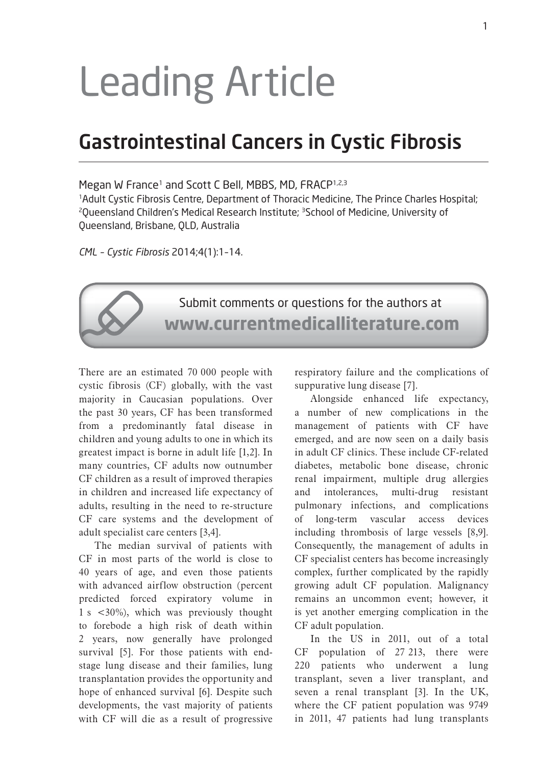# Leading Article

# Gastrointestinal Cancers in Cystic Fibrosis

Megan W France<sup>1</sup> and Scott C Bell, MBBS, MD, FRACP<sup>1,2,3</sup>

1Adult Cystic Fibrosis Centre, Department of Thoracic Medicine, The Prince Charles Hospital; <sup>2</sup>Queensland Children's Medical Research Institute; <sup>3</sup>School of Medicine, University of Queensland, Brisbane, QLD, Australia

*CML – Cystic Fibrosis* 2014;4(1):1–14.



There are an estimated 70 000 people with cystic fibrosis (CF) globally, with the vast majority in Caucasian populations. Over the past 30 years, CF has been transformed from a predominantly fatal disease in children and young adults to one in which its greatest impact is borne in adult life [1,2]. In many countries, CF adults now outnumber CF children as a result of improved therapies in children and increased life expectancy of adults, resulting in the need to re-structure CF care systems and the development of adult specialist care centers [3,4].

The median survival of patients with CF in most parts of the world is close to 40 years of age, and even those patients with advanced airflow obstruction (percent predicted forced expiratory volume in 1 s <30%), which was previously thought to forebode a high risk of death within 2 years, now generally have prolonged survival [5]. For those patients with endstage lung disease and their families, lung transplantation provides the opportunity and hope of enhanced survival [6]. Despite such developments, the vast majority of patients with CF will die as a result of progressive

respiratory failure and the complications of suppurative lung disease [7].

Alongside enhanced life expectancy, a number of new complications in the management of patients with CF have emerged, and are now seen on a daily basis in adult CF clinics. These include CF-related diabetes, metabolic bone disease, chronic renal impairment, multiple drug allergies and intolerances, multi-drug resistant pulmonary infections, and complications of long-term vascular access devices including thrombosis of large vessels [8,9]. Consequently, the management of adults in CF specialist centers has become increasingly complex, further complicated by the rapidly growing adult CF population. Malignancy remains an uncommon event; however, it is yet another emerging complication in the CF adult population.

In the US in 2011, out of a total CF population of 27 213, there were 220 patients who underwent a lung transplant, seven a liver transplant, and seven a renal transplant [3]. In the UK, where the CF patient population was 9749 in 2011, 47 patients had lung transplants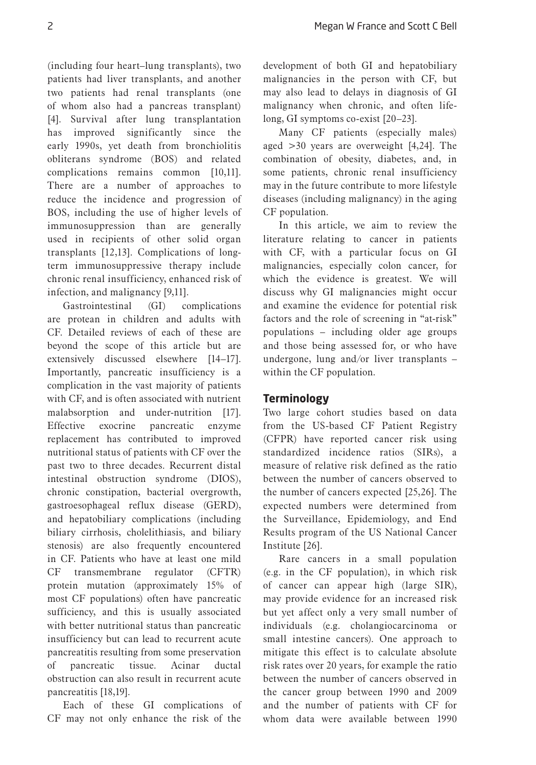(including four heart–lung transplants), two patients had liver transplants, and another two patients had renal transplants (one of whom also had a pancreas transplant) [4]. Survival after lung transplantation has improved significantly since the early 1990s, yet death from bronchiolitis obliterans syndrome (BOS) and related complications remains common [10,11]. There are a number of approaches to reduce the incidence and progression of BOS, including the use of higher levels of immunosuppression than are generally used in recipients of other solid organ transplants [12,13]. Complications of longterm immunosuppressive therapy include chronic renal insufficiency, enhanced risk of infection, and malignancy [9,11].

Gastrointestinal (GI) complications are protean in children and adults with CF. Detailed reviews of each of these are beyond the scope of this article but are extensively discussed elsewhere [14–17]. Importantly, pancreatic insufficiency is a complication in the vast majority of patients with CF, and is often associated with nutrient malabsorption and under-nutrition [17]. Effective exocrine pancreatic enzyme replacement has contributed to improved nutritional status of patients with CF over the past two to three decades. Recurrent distal intestinal obstruction syndrome (DIOS), chronic constipation, bacterial overgrowth, gastroesophageal reflux disease (GERD), and hepatobiliary complications (including biliary cirrhosis, cholelithiasis, and biliary stenosis) are also frequently encountered in CF. Patients who have at least one mild CF transmembrane regulator (CFTR) protein mutation (approximately 15% of most CF populations) often have pancreatic sufficiency, and this is usually associated with better nutritional status than pancreatic insufficiency but can lead to recurrent acute pancreatitis resulting from some preservation of pancreatic tissue. Acinar ductal obstruction can also result in recurrent acute pancreatitis [18,19].

Each of these GI complications of CF may not only enhance the risk of the

development of both GI and hepatobiliary malignancies in the person with CF, but may also lead to delays in diagnosis of GI malignancy when chronic, and often lifelong, GI symptoms co-exist [20–23].

Many CF patients (especially males) aged >30 years are overweight [4,24]. The combination of obesity, diabetes, and, in some patients, chronic renal insufficiency may in the future contribute to more lifestyle diseases (including malignancy) in the aging CF population.

In this article, we aim to review the literature relating to cancer in patients with CF, with a particular focus on GI malignancies, especially colon cancer, for which the evidence is greatest. We will discuss why GI malignancies might occur and examine the evidence for potential risk factors and the role of screening in "at-risk" populations – including older age groups and those being assessed for, or who have undergone, lung and/or liver transplants – within the CF population.

# **Terminology**

Two large cohort studies based on data from the US-based CF Patient Registry (CFPR) have reported cancer risk using standardized incidence ratios (SIRs), a measure of relative risk defined as the ratio between the number of cancers observed to the number of cancers expected [25,26]. The expected numbers were determined from the Surveillance, Epidemiology, and End Results program of the US National Cancer Institute [26].

Rare cancers in a small population (e.g. in the CF population), in which risk of cancer can appear high (large SIR), may provide evidence for an increased risk but yet affect only a very small number of individuals (e.g. cholangiocarcinoma or small intestine cancers). One approach to mitigate this effect is to calculate absolute risk rates over 20 years, for example the ratio between the number of cancers observed in the cancer group between 1990 and 2009 and the number of patients with CF for whom data were available between 1990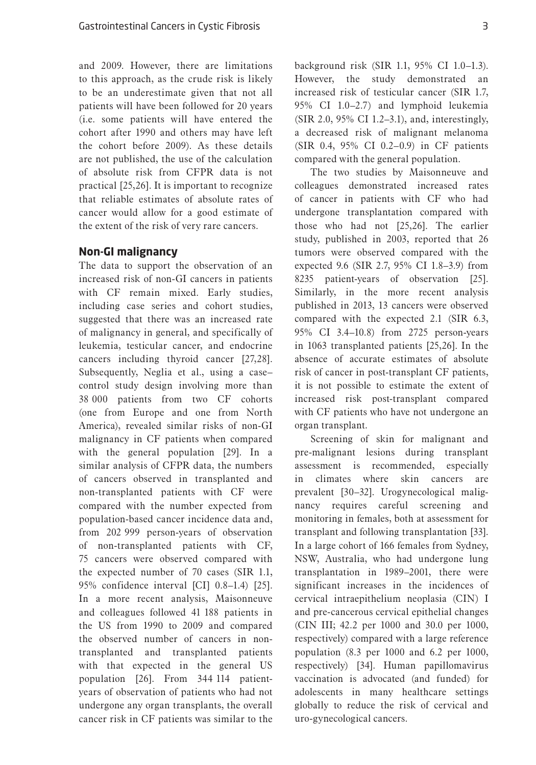and 2009. However, there are limitations to this approach, as the crude risk is likely to be an underestimate given that not all patients will have been followed for 20 years (i.e. some patients will have entered the cohort after 1990 and others may have left the cohort before 2009). As these details are not published, the use of the calculation of absolute risk from CFPR data is not practical [25,26]. It is important to recognize that reliable estimates of absolute rates of cancer would allow for a good estimate of the extent of the risk of very rare cancers.

#### **Non-GI malignancy**

The data to support the observation of an increased risk of non-GI cancers in patients with CF remain mixed. Early studies, including case series and cohort studies, suggested that there was an increased rate of malignancy in general, and specifically of leukemia, testicular cancer, and endocrine cancers including thyroid cancer [27,28]. Subsequently, Neglia et al., using a case– control study design involving more than 38 000 patients from two CF cohorts (one from Europe and one from North America), revealed similar risks of non-GI malignancy in CF patients when compared with the general population [29]. In a similar analysis of CFPR data, the numbers of cancers observed in transplanted and non-transplanted patients with CF were compared with the number expected from population-based cancer incidence data and, from 202 999 person-years of observation of non-transplanted patients with CF, 75 cancers were observed compared with the expected number of 70 cases (SIR 1.1, 95% confidence interval [CI] 0.8–1.4) [25]. In a more recent analysis, Maisonneuve and colleagues followed 41 188 patients in the US from 1990 to 2009 and compared the observed number of cancers in nontransplanted and transplanted patients with that expected in the general US population [26]. From 344 114 patientyears of observation of patients who had not undergone any organ transplants, the overall cancer risk in CF patients was similar to the

background risk (SIR 1.1, 95% CI 1.0–1.3). However, the study demonstrated an increased risk of testicular cancer (SIR 1.7, 95% CI 1.0–2.7) and lymphoid leukemia (SIR 2.0, 95% CI 1.2–3.1), and, interestingly, a decreased risk of malignant melanoma (SIR 0.4, 95% CI 0.2–0.9) in CF patients compared with the general population.

The two studies by Maisonneuve and colleagues demonstrated increased rates of cancer in patients with CF who had undergone transplantation compared with those who had not [25,26]. The earlier study, published in 2003, reported that 26 tumors were observed compared with the expected 9.6 (SIR 2.7, 95% CI 1.8–3.9) from 8235 patient-years of observation [25]. Similarly, in the more recent analysis published in 2013, 13 cancers were observed compared with the expected 2.1 (SIR 6.3, 95% CI 3.4–10.8) from 2725 person-years in 1063 transplanted patients [25,26]. In the absence of accurate estimates of absolute risk of cancer in post-transplant CF patients, it is not possible to estimate the extent of increased risk post-transplant compared with CF patients who have not undergone an organ transplant.

Screening of skin for malignant and pre-malignant lesions during transplant assessment is recommended, especially in climates where skin cancers are prevalent [30–32]. Urogynecological malignancy requires careful screening and monitoring in females, both at assessment for transplant and following transplantation [33]. In a large cohort of 166 females from Sydney, NSW, Australia, who had undergone lung transplantation in 1989–2001, there were significant increases in the incidences of cervical intraepithelium neoplasia (CIN) I and pre-cancerous cervical epithelial changes (CIN III; 42.2 per 1000 and 30.0 per 1000, respectively) compared with a large reference population (8.3 per 1000 and 6.2 per 1000, respectively) [34]. Human papillomavirus vaccination is advocated (and funded) for adolescents in many healthcare settings globally to reduce the risk of cervical and uro-gynecological cancers.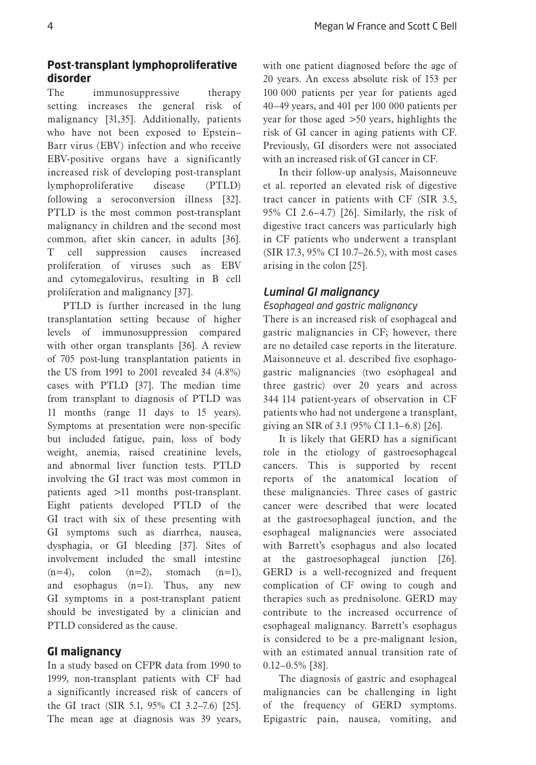# **Post-transplant lymphoproliferative disorder**

The immunosuppressive therapy setting increases the general risk of malignancy [31,35]. Additionally, patients who have not been exposed to Epstein– Barr virus (EBV) infection and who receive EBV-positive organs have a significantly increased risk of developing post-transplant lymphoproliferative disease (PTLD) following a seroconversion illness [32]. PTLD is the most common post-transplant malignancy in children and the second most common, after skin cancer, in adults [36]. T cell suppression causes increased proliferation of viruses such as EBV and cytomegalovirus, resulting in B cell proliferation and malignancy [37].

PTLD is further increased in the lung transplantation setting because of higher levels of immunosuppression compared with other organ transplants [36]. A review of 705 post-lung transplantation patients in the US from 1991 to 2001 revealed 34 (4.8%) cases with PTLD [37]. The median time from transplant to diagnosis of PTLD was 11 months (range 11 days to 15 years). Symptoms at presentation were non-specific but included fatigue, pain, loss of body weight, anemia, raised creatinine levels, and abnormal liver function tests. PTLD involving the GI tract was most common in patients aged >11 months post-transplant. Eight patients developed PTLD of the GI tract with six of these presenting with GI symptoms such as diarrhea, nausea, dysphagia, or GI bleeding [37]. Sites of involvement included the small intestine  $(n=4)$ , colon  $(n=2)$ , stomach  $(n=1)$ , and esophagus (n=1). Thus, any new GI symptoms in a post-transplant patient should be investigated by a clinician and PTLD considered as the cause.

# **GI malignancy**

In a study based on CFPR data from 1990 to 1999, non-transplant patients with CF had a significantly increased risk of cancers of the GI tract (SIR 5.1, 95% CI 3.2–7.6) [25]. The mean age at diagnosis was 39 years,

with one patient diagnosed before the age of 20 years. An excess absolute risk of 153 per 100 000 patients per year for patients aged 40–49 years, and 401 per 100 000 patients per year for those aged >50 years, highlights the risk of GI cancer in aging patients with CF. Previously, GI disorders were not associated with an increased risk of GI cancer in CF.

In their follow-up analysis, Maisonneuve et al. reported an elevated risk of digestive tract cancer in patients with CF (SIR 3.5, 95% CI 2.6–4.7) [26]. Similarly, the risk of digestive tract cancers was particularly high in CF patients who underwent a transplant (SIR 17.3, 95% CI 10.7–26.5), with most cases arising in the colon [25].

# *Luminal GI malignancy*

# *Esophageal and gastric malignancy*

There is an increased risk of esophageal and gastric malignancies in CF; however, there are no detailed case reports in the literature. Maisonneuve et al. described five esophagogastric malignancies (two esophageal and three gastric) over 20 years and across 344 114 patient-years of observation in CF patients who had not undergone a transplant, giving an SIR of 3.1 (95% CI 1.1–6.8) [26].

It is likely that GERD has a significant role in the etiology of gastroesophageal cancers. This is supported by recent reports of the anatomical location of these malignancies. Three cases of gastric cancer were described that were located at the gastroesophageal junction, and the esophageal malignancies were associated with Barrett's esophagus and also located at the gastroesophageal junction [26]. GERD is a well-recognized and frequent complication of CF owing to cough and therapies such as prednisolone. GERD may contribute to the increased occurrence of esophageal malignancy. Barrett's esophagus is considered to be a pre-malignant lesion, with an estimated annual transition rate of 0.12–0.5% [38].

The diagnosis of gastric and esophageal malignancies can be challenging in light of the frequency of GERD symptoms. Epigastric pain, nausea, vomiting, and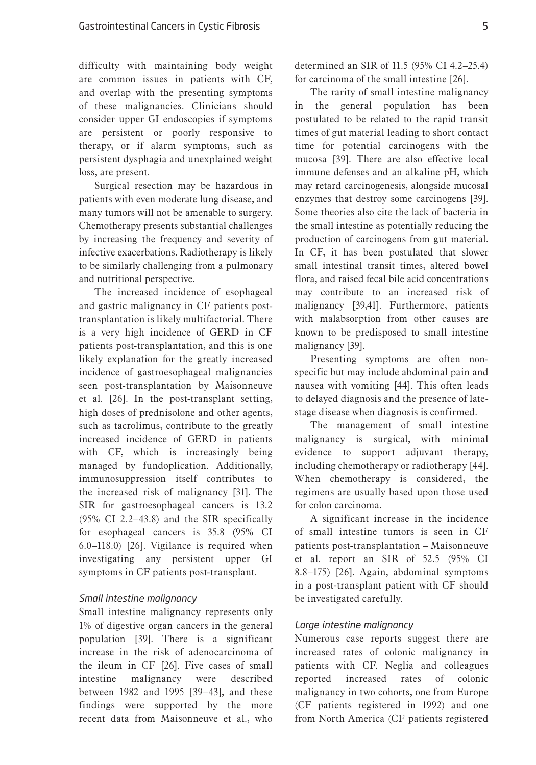difficulty with maintaining body weight are common issues in patients with CF, and overlap with the presenting symptoms of these malignancies. Clinicians should consider upper GI endoscopies if symptoms are persistent or poorly responsive to therapy, or if alarm symptoms, such as persistent dysphagia and unexplained weight loss, are present.

Surgical resection may be hazardous in patients with even moderate lung disease, and many tumors will not be amenable to surgery. Chemotherapy presents substantial challenges by increasing the frequency and severity of infective exacerbations. Radiotherapy is likely to be similarly challenging from a pulmonary and nutritional perspective.

The increased incidence of esophageal and gastric malignancy in CF patients posttransplantation is likely multifactorial. There is a very high incidence of GERD in CF patients post-transplantation, and this is one likely explanation for the greatly increased incidence of gastroesophageal malignancies seen post-transplantation by Maisonneuve et al. [26]. In the post-transplant setting, high doses of prednisolone and other agents, such as tacrolimus, contribute to the greatly increased incidence of GERD in patients with CF, which is increasingly being managed by fundoplication. Additionally, immunosuppression itself contributes to the increased risk of malignancy [31]. The SIR for gastroesophageal cancers is 13.2 (95% CI 2.2–43.8) and the SIR specifically for esophageal cancers is 35.8 (95% CI 6.0–118.0) [26]. Vigilance is required when investigating any persistent upper GI symptoms in CF patients post-transplant.

#### *Small intestine malignancy*

Small intestine malignancy represents only 1% of digestive organ cancers in the general population [39]. There is a significant increase in the risk of adenocarcinoma of the ileum in CF [26]. Five cases of small intestine malignancy were described between 1982 and 1995 [39–43], and these findings were supported by the more recent data from Maisonneuve et al., who

determined an SIR of 11.5 (95% CI 4.2–25.4) for carcinoma of the small intestine [26].

The rarity of small intestine malignancy in the general population has been postulated to be related to the rapid transit times of gut material leading to short contact time for potential carcinogens with the mucosa [39]. There are also effective local immune defenses and an alkaline pH, which may retard carcinogenesis, alongside mucosal enzymes that destroy some carcinogens [39]. Some theories also cite the lack of bacteria in the small intestine as potentially reducing the production of carcinogens from gut material. In CF, it has been postulated that slower small intestinal transit times, altered bowel flora, and raised fecal bile acid concentrations may contribute to an increased risk of malignancy [39,41]. Furthermore, patients with malabsorption from other causes are known to be predisposed to small intestine malignancy [39].

Presenting symptoms are often nonspecific but may include abdominal pain and nausea with vomiting [44]. This often leads to delayed diagnosis and the presence of latestage disease when diagnosis is confirmed.

The management of small intestine malignancy is surgical, with minimal evidence to support adjuvant therapy, including chemotherapy or radiotherapy [44]. When chemotherapy is considered, the regimens are usually based upon those used for colon carcinoma.

A significant increase in the incidence of small intestine tumors is seen in CF patients post-transplantation – Maisonneuve et al. report an SIR of 52.5 (95% CI 8.8–175) [26]. Again, abdominal symptoms in a post-transplant patient with CF should be investigated carefully.

# *Large intestine malignancy*

Numerous case reports suggest there are increased rates of colonic malignancy in patients with CF. Neglia and colleagues reported increased rates of colonic malignancy in two cohorts, one from Europe (CF patients registered in 1992) and one from North America (CF patients registered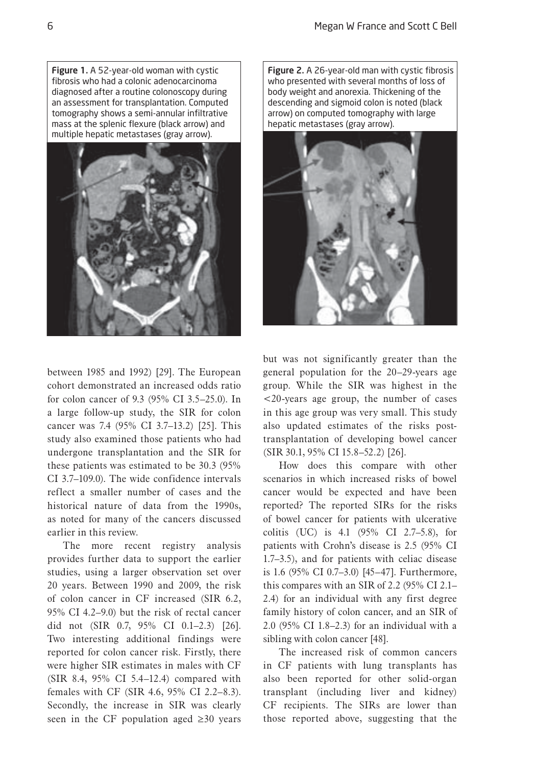Figure 1. A 52-year-old woman with cystic fibrosis who had a colonic adenocarcinoma diagnosed after a routine colonoscopy during an assessment for transplantation. Computed tomography shows a semi-annular infiltrative mass at the splenic flexure (black arrow) and multiple hepatic metastases (gray arrow).



between 1985 and 1992) [29]. The European cohort demonstrated an increased odds ratio for colon cancer of 9.3 (95% CI 3.5–25.0). In a large follow-up study, the SIR for colon cancer was 7.4 (95% CI 3.7–13.2) [25]. This study also examined those patients who had undergone transplantation and the SIR for these patients was estimated to be 30.3 (95% CI 3.7–109.0). The wide confidence intervals reflect a smaller number of cases and the historical nature of data from the 1990s, as noted for many of the cancers discussed earlier in this review.

The more recent registry analysis provides further data to support the earlier studies, using a larger observation set over 20 years. Between 1990 and 2009, the risk of colon cancer in CF increased (SIR 6.2, 95% CI 4.2–9.0) but the risk of rectal cancer did not (SIR 0.7, 95% CI 0.1–2.3) [26]. Two interesting additional findings were reported for colon cancer risk. Firstly, there were higher SIR estimates in males with CF (SIR 8.4, 95% CI 5.4–12.4) compared with females with CF (SIR 4.6, 95% CI 2.2–8.3). Secondly, the increase in SIR was clearly seen in the CF population aged  $\geq 30$  years Figure 2. A 26-year-old man with cystic fibrosis who presented with several months of loss of body weight and anorexia. Thickening of the descending and sigmoid colon is noted (black arrow) on computed tomography with large hepatic metastases (gray arrow).



but was not significantly greater than the general population for the 20–29-years age group. While the SIR was highest in the <20-years age group, the number of cases in this age group was very small. This study also updated estimates of the risks posttransplantation of developing bowel cancer (SIR 30.1, 95% CI 15.8–52.2) [26].

How does this compare with other scenarios in which increased risks of bowel cancer would be expected and have been reported? The reported SIRs for the risks of bowel cancer for patients with ulcerative colitis (UC) is 4.1 (95% CI 2.7–5.8), for patients with Crohn's disease is 2.5 (95% CI 1.7–3.5), and for patients with celiac disease is 1.6 (95% CI 0.7–3.0) [45–47]. Furthermore, this compares with an SIR of 2.2 (95% CI 2.1– 2.4) for an individual with any first degree family history of colon cancer, and an SIR of 2.0 (95% CI 1.8–2.3) for an individual with a sibling with colon cancer [48].

The increased risk of common cancers in CF patients with lung transplants has also been reported for other solid-organ transplant (including liver and kidney) CF recipients. The SIRs are lower than those reported above, suggesting that the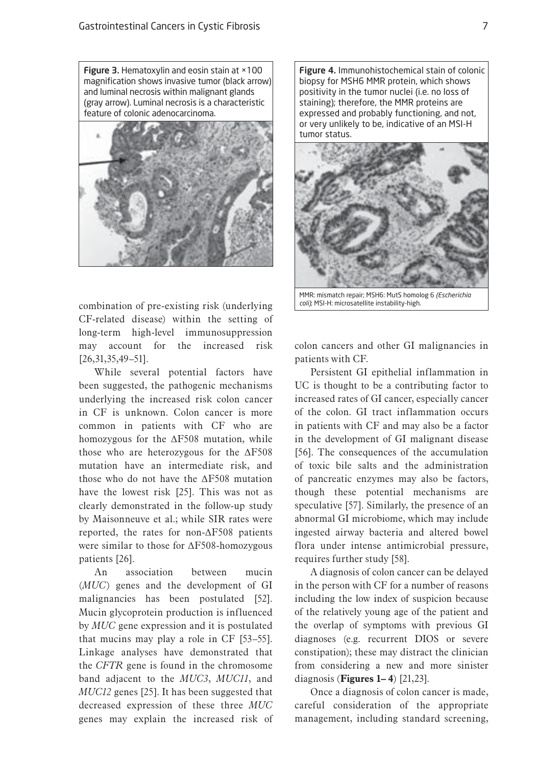Figure 3. Hematoxylin and eosin stain at ×100 magnification shows invasive tumor (black arrow) and luminal necrosis within malignant glands (gray arrow). Luminal necrosis is a characteristic feature of colonic adenocarcinoma.



combination of pre-existing risk (underlying CF-related disease) within the setting of long-term high-level immunosuppression may account for the increased risk [26,31,35,49–51].

While several potential factors have been suggested, the pathogenic mechanisms underlying the increased risk colon cancer in CF is unknown. Colon cancer is more common in patients with CF who are homozygous for the ΔF508 mutation, while those who are heterozygous for the ΔF508 mutation have an intermediate risk, and those who do not have the ΔF508 mutation have the lowest risk [25]. This was not as clearly demonstrated in the follow-up study by Maisonneuve et al.; while SIR rates were reported, the rates for non-ΔF508 patients were similar to those for ΔF508-homozygous patients [26].

An association between mucin (*MUC*) genes and the development of GI malignancies has been postulated [52]. Mucin glycoprotein production is influenced by *MUC* gene expression and it is postulated that mucins may play a role in CF [53–55]. Linkage analyses have demonstrated that the *CFTR* gene is found in the chromosome band adjacent to the *MUC3*, *MUC11*, and *MUC12* genes [25]. It has been suggested that decreased expression of these three *MUC* genes may explain the increased risk of

Figure 4. Immunohistochemical stain of colonic biopsy for MSH6 MMR protein, which shows positivity in the tumor nuclei (i.e. no loss of staining); therefore, the MMR proteins are expressed and probably functioning, and not, or very unlikely to be, indicative of an MSI-H tumor status.



MMR: mismatch repair; MSH6: MutS homolog 6 *(Escherichia coli)*; MSI-H: microsatellite instability-high.

colon cancers and other GI malignancies in patients with CF.

Persistent GI epithelial inflammation in UC is thought to be a contributing factor to increased rates of GI cancer, especially cancer of the colon. GI tract inflammation occurs in patients with CF and may also be a factor in the development of GI malignant disease [56]. The consequences of the accumulation of toxic bile salts and the administration of pancreatic enzymes may also be factors, though these potential mechanisms are speculative [57]. Similarly, the presence of an abnormal GI microbiome, which may include ingested airway bacteria and altered bowel flora under intense antimicrobial pressure, requires further study [58].

A diagnosis of colon cancer can be delayed in the person with CF for a number of reasons including the low index of suspicion because of the relatively young age of the patient and the overlap of symptoms with previous GI diagnoses (e.g. recurrent DIOS or severe constipation); these may distract the clinician from considering a new and more sinister diagnosis (**Figures 1– 4**) [21,23].

Once a diagnosis of colon cancer is made, careful consideration of the appropriate management, including standard screening,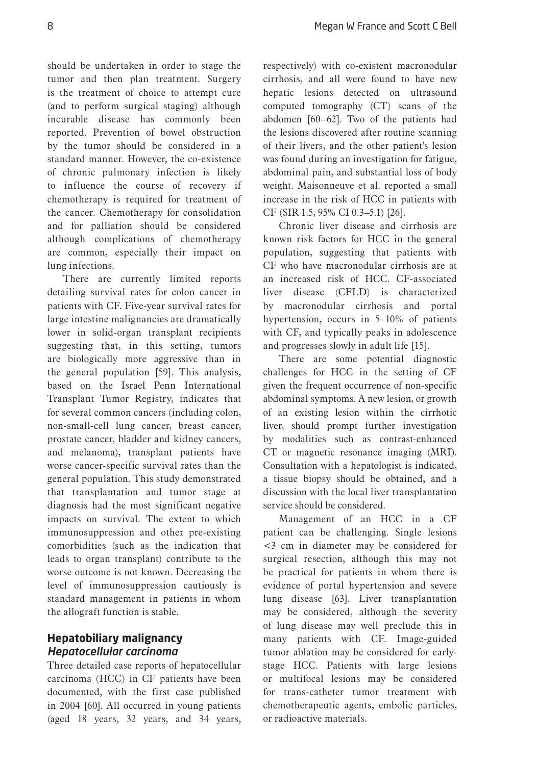should be undertaken in order to stage the tumor and then plan treatment. Surgery is the treatment of choice to attempt cure (and to perform surgical staging) although incurable disease has commonly been reported. Prevention of bowel obstruction by the tumor should be considered in a standard manner. However, the co-existence of chronic pulmonary infection is likely to influence the course of recovery if chemotherapy is required for treatment of the cancer. Chemotherapy for consolidation and for palliation should be considered although complications of chemotherapy are common, especially their impact on lung infections.

There are currently limited reports detailing survival rates for colon cancer in patients with CF. Five-year survival rates for large intestine malignancies are dramatically lower in solid-organ transplant recipients suggesting that, in this setting, tumors are biologically more aggressive than in the general population [59]. This analysis, based on the Israel Penn International Transplant Tumor Registry, indicates that for several common cancers (including colon, non-small-cell lung cancer, breast cancer, prostate cancer, bladder and kidney cancers, and melanoma), transplant patients have worse cancer-specific survival rates than the general population. This study demonstrated that transplantation and tumor stage at diagnosis had the most significant negative impacts on survival. The extent to which immunosuppression and other pre-existing comorbidities (such as the indication that leads to organ transplant) contribute to the worse outcome is not known. Decreasing the level of immunosuppression cautiously is standard management in patients in whom the allograft function is stable.

# **Hepatobiliary malignancy** *Hepatocellular carcinoma*

Three detailed case reports of hepatocellular carcinoma (HCC) in CF patients have been documented, with the first case published in 2004 [60]. All occurred in young patients (aged 18 years, 32 years, and 34 years,

respectively) with co-existent macronodular cirrhosis, and all were found to have new hepatic lesions detected on ultrasound computed tomography (CT) scans of the abdomen [60–62]. Two of the patients had the lesions discovered after routine scanning of their livers, and the other patient's lesion was found during an investigation for fatigue, abdominal pain, and substantial loss of body weight. Maisonneuve et al. reported a small increase in the risk of HCC in patients with CF (SIR 1.5, 95% CI 0.3–5.1) [26].

Chronic liver disease and cirrhosis are known risk factors for HCC in the general population, suggesting that patients with CF who have macronodular cirrhosis are at an increased risk of HCC. CF-associated liver disease (CFLD) is characterized by macronodular cirrhosis and portal hypertension, occurs in 5–10% of patients with CF, and typically peaks in adolescence and progresses slowly in adult life [15].

There are some potential diagnostic challenges for HCC in the setting of CF given the frequent occurrence of non-specific abdominal symptoms. A new lesion, or growth of an existing lesion within the cirrhotic liver, should prompt further investigation by modalities such as contrast-enhanced CT or magnetic resonance imaging (MRI). Consultation with a hepatologist is indicated, a tissue biopsy should be obtained, and a discussion with the local liver transplantation service should be considered.

Management of an HCC in a CF patient can be challenging. Single lesions <3 cm in diameter may be considered for surgical resection, although this may not be practical for patients in whom there is evidence of portal hypertension and severe lung disease [63]. Liver transplantation may be considered, although the severity of lung disease may well preclude this in many patients with CF. Image-guided tumor ablation may be considered for earlystage HCC. Patients with large lesions or multifocal lesions may be considered for trans-catheter tumor treatment with chemotherapeutic agents, embolic particles, or radioactive materials.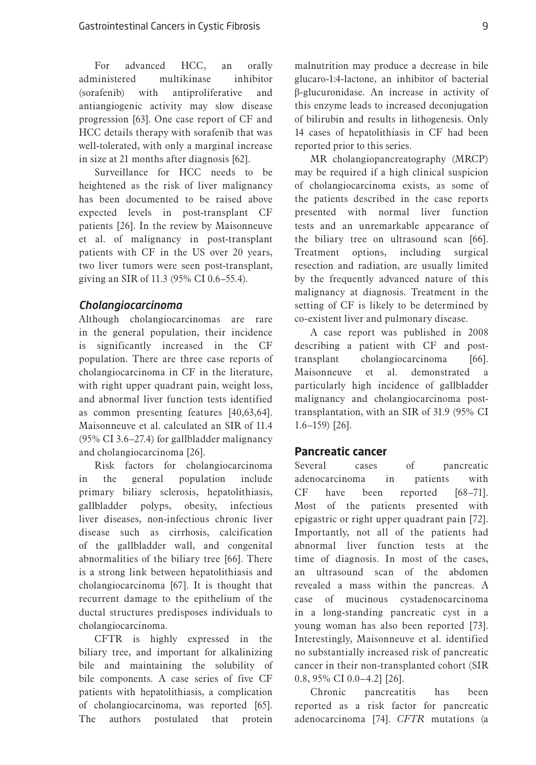For advanced HCC, an orally administered multikinase inhibitor (sorafenib) with antiproliferative and antiangiogenic activity may slow disease progression [63]. One case report of CF and HCC details therapy with sorafenib that was well-tolerated, with only a marginal increase in size at 21 months after diagnosis [62].

Surveillance for HCC needs to be heightened as the risk of liver malignancy has been documented to be raised above expected levels in post-transplant CF patients [26]. In the review by Maisonneuve et al. of malignancy in post-transplant patients with CF in the US over 20 years, two liver tumors were seen post-transplant, giving an SIR of 11.3 (95% CI 0.6–55.4).

# *Cholangiocarcinoma*

Although cholangiocarcinomas are rare in the general population, their incidence is significantly increased in the CF population. There are three case reports of cholangiocarcinoma in CF in the literature, with right upper quadrant pain, weight loss, and abnormal liver function tests identified as common presenting features [40,63,64]. Maisonneuve et al. calculated an SIR of 11.4 (95% CI 3.6–27.4) for gallbladder malignancy and cholangiocarcinoma [26].

Risk factors for cholangiocarcinoma in the general population include primary biliary sclerosis, hepatolithiasis, gallbladder polyps, obesity, infectious liver diseases, non-infectious chronic liver disease such as cirrhosis, calcification of the gallbladder wall, and congenital abnormalities of the biliary tree [66]. There is a strong link between hepatolithiasis and cholangiocarcinoma [67]. It is thought that recurrent damage to the epithelium of the ductal structures predisposes individuals to cholangiocarcinoma.

CFTR is highly expressed in the biliary tree, and important for alkalinizing bile and maintaining the solubility of bile components. A case series of five CF patients with hepatolithiasis, a complication of cholangiocarcinoma, was reported [65]. The authors postulated that protein

malnutrition may produce a decrease in bile glucaro-1:4-lactone, an inhibitor of bacterial β-glucuronidase. An increase in activity of this enzyme leads to increased deconjugation of bilirubin and results in lithogenesis. Only 14 cases of hepatolithiasis in CF had been reported prior to this series.

MR cholangiopancreatography (MRCP) may be required if a high clinical suspicion of cholangiocarcinoma exists, as some of the patients described in the case reports presented with normal liver function tests and an unremarkable appearance of the biliary tree on ultrasound scan [66]. Treatment options, including surgical resection and radiation, are usually limited by the frequently advanced nature of this malignancy at diagnosis. Treatment in the setting of CF is likely to be determined by co-existent liver and pulmonary disease.

A case report was published in 2008 describing a patient with CF and posttransplant cholangiocarcinoma [66]. Maisonneuve et al. demonstrated a particularly high incidence of gallbladder malignancy and cholangiocarcinoma posttransplantation, with an SIR of 31.9 (95% CI 1.6–159) [26].

#### **Pancreatic cancer**

Several cases of pancreatic adenocarcinoma in patients with CF have been reported [68–71]. Most of the patients presented with epigastric or right upper quadrant pain [72]. Importantly, not all of the patients had abnormal liver function tests at the time of diagnosis. In most of the cases, an ultrasound scan of the abdomen revealed a mass within the pancreas. A case of mucinous cystadenocarcinoma in a long-standing pancreatic cyst in a young woman has also been reported [73]. Interestingly, Maisonneuve et al. identified no substantially increased risk of pancreatic cancer in their non-transplanted cohort (SIR 0.8, 95% CI 0.0–4.2] [26].

Chronic pancreatitis has been reported as a risk factor for pancreatic adenocarcinoma [74]. *CFTR* mutations (a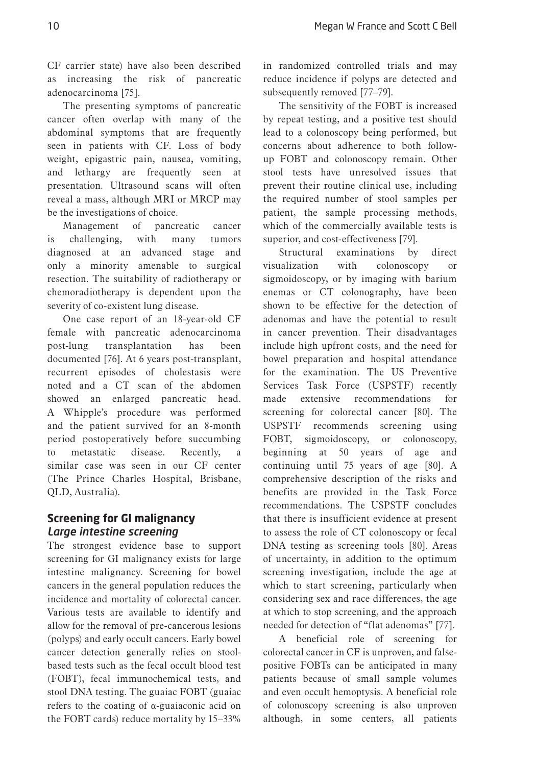CF carrier state) have also been described as increasing the risk of pancreatic adenocarcinoma [75].

The presenting symptoms of pancreatic cancer often overlap with many of the abdominal symptoms that are frequently seen in patients with CF. Loss of body weight, epigastric pain, nausea, vomiting, and lethargy are frequently seen at presentation. Ultrasound scans will often reveal a mass, although MRI or MRCP may be the investigations of choice.

Management of pancreatic cancer is challenging, with many tumors diagnosed at an advanced stage and only a minority amenable to surgical resection. The suitability of radiotherapy or chemoradiotherapy is dependent upon the severity of co-existent lung disease.

One case report of an 18-year-old CF female with pancreatic adenocarcinoma post-lung transplantation has been documented [76]. At 6 years post-transplant, recurrent episodes of cholestasis were noted and a CT scan of the abdomen showed an enlarged pancreatic head. A Whipple's procedure was performed and the patient survived for an 8-month period postoperatively before succumbing to metastatic disease. Recently, similar case was seen in our CF center (The Prince Charles Hospital, Brisbane, QLD, Australia).

# **Screening for GI malignancy** *Large intestine screening*

The strongest evidence base to support screening for GI malignancy exists for large intestine malignancy. Screening for bowel cancers in the general population reduces the incidence and mortality of colorectal cancer. Various tests are available to identify and allow for the removal of pre-cancerous lesions (polyps) and early occult cancers. Early bowel cancer detection generally relies on stoolbased tests such as the fecal occult blood test (FOBT), fecal immunochemical tests, and stool DNA testing. The guaiac FOBT (guaiac refers to the coating of α-guaiaconic acid on the FOBT cards) reduce mortality by 15–33%

in randomized controlled trials and may reduce incidence if polyps are detected and subsequently removed [77–79].

The sensitivity of the FOBT is increased by repeat testing, and a positive test should lead to a colonoscopy being performed, but concerns about adherence to both followup FOBT and colonoscopy remain. Other stool tests have unresolved issues that prevent their routine clinical use, including the required number of stool samples per patient, the sample processing methods, which of the commercially available tests is superior, and cost-effectiveness [79].

Structural examinations by direct visualization with colonoscopy or sigmoidoscopy, or by imaging with barium enemas or CT colonography, have been shown to be effective for the detection of adenomas and have the potential to result in cancer prevention. Their disadvantages include high upfront costs, and the need for bowel preparation and hospital attendance for the examination. The US Preventive Services Task Force (USPSTF) recently made extensive recommendations for screening for colorectal cancer [80]. The USPSTF recommends screening using FOBT, sigmoidoscopy, or colonoscopy, beginning at 50 years of age and continuing until 75 years of age [80]. A comprehensive description of the risks and benefits are provided in the Task Force recommendations. The USPSTF concludes that there is insufficient evidence at present to assess the role of CT colonoscopy or fecal DNA testing as screening tools [80]. Areas of uncertainty, in addition to the optimum screening investigation, include the age at which to start screening, particularly when considering sex and race differences, the age at which to stop screening, and the approach needed for detection of "flat adenomas" [77].

A beneficial role of screening for colorectal cancer in CF is unproven, and falsepositive FOBTs can be anticipated in many patients because of small sample volumes and even occult hemoptysis. A beneficial role of colonoscopy screening is also unproven although, in some centers, all patients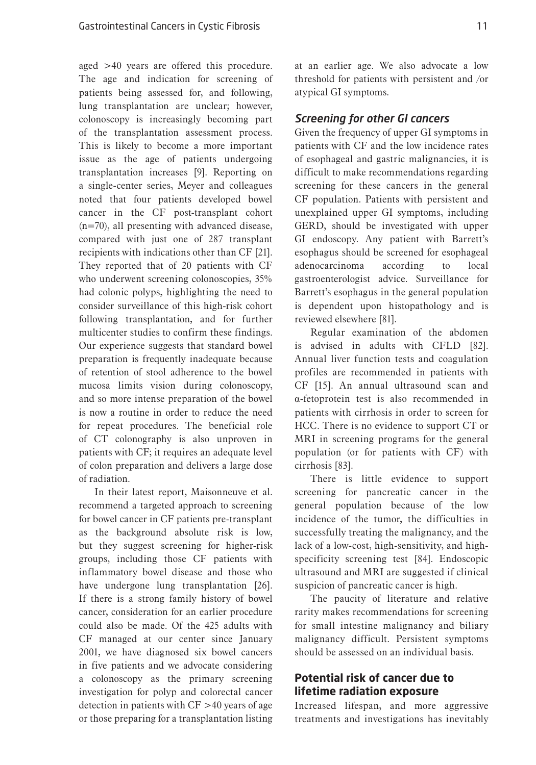aged >40 years are offered this procedure. The age and indication for screening of patients being assessed for, and following, lung transplantation are unclear; however, colonoscopy is increasingly becoming part of the transplantation assessment process. This is likely to become a more important issue as the age of patients undergoing transplantation increases [9]. Reporting on a single-center series, Meyer and colleagues noted that four patients developed bowel cancer in the CF post-transplant cohort (n=70), all presenting with advanced disease, compared with just one of 287 transplant recipients with indications other than CF [21]. They reported that of 20 patients with CF who underwent screening colonoscopies, 35% had colonic polyps, highlighting the need to consider surveillance of this high-risk cohort following transplantation, and for further multicenter studies to confirm these findings. Our experience suggests that standard bowel preparation is frequently inadequate because of retention of stool adherence to the bowel mucosa limits vision during colonoscopy, and so more intense preparation of the bowel is now a routine in order to reduce the need for repeat procedures. The beneficial role of CT colonography is also unproven in patients with CF; it requires an adequate level of colon preparation and delivers a large dose of radiation.

In their latest report, Maisonneuve et al. recommend a targeted approach to screening for bowel cancer in CF patients pre-transplant as the background absolute risk is low, but they suggest screening for higher-risk groups, including those CF patients with inflammatory bowel disease and those who have undergone lung transplantation [26]. If there is a strong family history of bowel cancer, consideration for an earlier procedure could also be made. Of the 425 adults with CF managed at our center since January 2001, we have diagnosed six bowel cancers in five patients and we advocate considering a colonoscopy as the primary screening investigation for polyp and colorectal cancer detection in patients with CF >40 years of age or those preparing for a transplantation listing

at an earlier age. We also advocate a low threshold for patients with persistent and /or atypical GI symptoms.

#### *Screening for other GI cancers*

Given the frequency of upper GI symptoms in patients with CF and the low incidence rates of esophageal and gastric malignancies, it is difficult to make recommendations regarding screening for these cancers in the general CF population. Patients with persistent and unexplained upper GI symptoms, including GERD, should be investigated with upper GI endoscopy. Any patient with Barrett's esophagus should be screened for esophageal adenocarcinoma according to local gastroenterologist advice. Surveillance for Barrett's esophagus in the general population is dependent upon histopathology and is reviewed elsewhere [81].

Regular examination of the abdomen is advised in adults with CFLD [82]. Annual liver function tests and coagulation profiles are recommended in patients with CF [15]. An annual ultrasound scan and α-fetoprotein test is also recommended in patients with cirrhosis in order to screen for HCC. There is no evidence to support CT or MRI in screening programs for the general population (or for patients with CF) with cirrhosis [83].

There is little evidence to support screening for pancreatic cancer in the general population because of the low incidence of the tumor, the difficulties in successfully treating the malignancy, and the lack of a low-cost, high-sensitivity, and highspecificity screening test [84]. Endoscopic ultrasound and MRI are suggested if clinical suspicion of pancreatic cancer is high.

The paucity of literature and relative rarity makes recommendations for screening for small intestine malignancy and biliary malignancy difficult. Persistent symptoms should be assessed on an individual basis.

# **Potential risk of cancer due to lifetime radiation exposure**

Increased lifespan, and more aggressive treatments and investigations has inevitably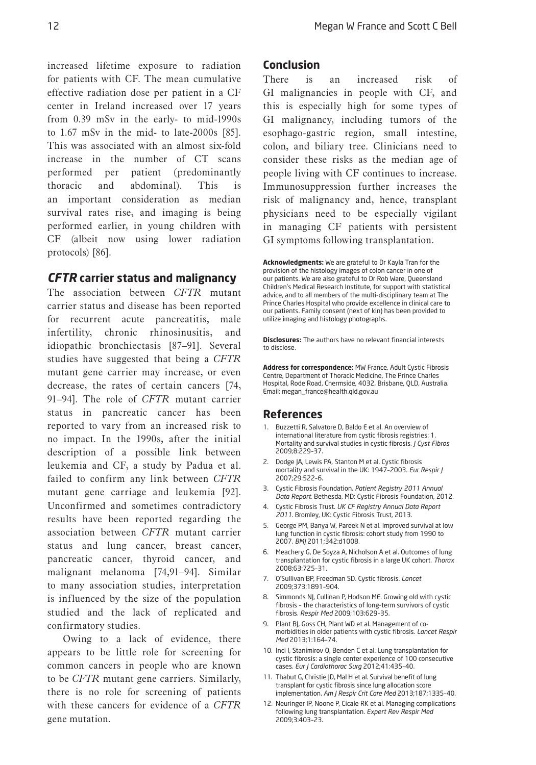increased lifetime exposure to radiation for patients with CF. The mean cumulative effective radiation dose per patient in a CF center in Ireland increased over 17 years from 0.39 mSv in the early- to mid-1990s to 1.67 mSv in the mid- to late-2000s [85]. This was associated with an almost six-fold increase in the number of CT scans performed per patient (predominantly thoracic and abdominal). This is an important consideration as median survival rates rise, and imaging is being performed earlier, in young children with CF (albeit now using lower radiation protocols) [86].

# *CFTR* **carrier status and malignancy**

The association between *CFTR* mutant carrier status and disease has been reported for recurrent acute pancreatitis, male infertility, chronic rhinosinusitis, and idiopathic bronchiectasis [87–91]. Several studies have suggested that being a *CFTR* mutant gene carrier may increase, or even decrease, the rates of certain cancers [74, 91–94]. The role of *CFTR* mutant carrier status in pancreatic cancer has been reported to vary from an increased risk to no impact. In the 1990s, after the initial description of a possible link between leukemia and CF, a study by Padua et al. failed to confirm any link between *CFTR* mutant gene carriage and leukemia [92]. Unconfirmed and sometimes contradictory results have been reported regarding the association between *CFTR* mutant carrier status and lung cancer, breast cancer, pancreatic cancer, thyroid cancer, and malignant melanoma [74,91–94]. Similar to many association studies, interpretation is influenced by the size of the population studied and the lack of replicated and confirmatory studies.

Owing to a lack of evidence, there appears to be little role for screening for common cancers in people who are known to be *CFTR* mutant gene carriers. Similarly, there is no role for screening of patients with these cancers for evidence of a *CFTR* gene mutation.

#### **Conclusion**

There is an increased risk of GI malignancies in people with CF, and this is especially high for some types of GI malignancy, including tumors of the esophago-gastric region, small intestine, colon, and biliary tree. Clinicians need to consider these risks as the median age of people living with CF continues to increase. Immunosuppression further increases the risk of malignancy and, hence, transplant physicians need to be especially vigilant in managing CF patients with persistent GI symptoms following transplantation.

**Acknowledgments:** We are grateful to Dr Kayla Tran for the provision of the histology images of colon cancer in one of our patients. We are also grateful to Dr Rob Ware, Queensland Children's Medical Research Institute, for support with statistical advice, and to all members of the multi-disciplinary team at The Prince Charles Hospital who provide excellence in clinical care to our patients. Family consent (next of kin) has been provided to utilize imaging and histology photographs.

**Disclosures:** The authors have no relevant financial interests to disclose.

**Address for correspondence:** MW France, Adult Cystic Fibrosis Centre, Department of Thoracic Medicine, The Prince Charles Hospital, Rode Road, Chermside, 4032, Brisbane, QLD, Australia. Email: megan\_france@health.qld.gov.au

#### **References**

- 1. Buzzetti R, Salvatore D, Baldo E et al. An overview of international literature from cystic fibrosis registries: 1. Mortality and survival studies in cystic fibrosis. *J Cyst Fibros* 2009;8:229–37.
- 2. Dodge JA, Lewis PA, Stanton M et al. Cystic fibrosis mortality and survival in the UK: 1947–2003. *Eur Respir J* 2007;29:522–6.
- 3. Cystic Fibrosis Foundation. *Patient Registry 2011 Annual Data Report*. Bethesda, MD: Cystic Fibrosis Foundation, 2012.
- 4. Cystic Fibrosis Trust. *UK CF Registry Annual Data Report 2011*. Bromley, UK: Cystic Fibrosis Trust, 2013.
- 5. George PM, Banya W, Pareek N et al. Improved survival at low lung function in cystic fibrosis: cohort study from 1990 to 2007. *BMJ* 2011;342:d1008.
- 6. Meachery G, De Soyza A, Nicholson A et al. Outcomes of lung transplantation for cystic fibrosis in a large UK cohort. *Thorax* 2008;63:725–31.
- 7. O'Sullivan BP, Freedman SD. Cystic fibrosis. *Lancet* 2009;373:1891–904.
- 8. Simmonds NJ, Cullinan P, Hodson ME. Growing old with cystic fibrosis – the characteristics of long-term survivors of cystic fibrosis. *Respir Med* 2009;103:629–35.
- 9. Plant BJ, Goss CH, Plant WD et al. Management of comorbidities in older patients with cystic fibrosis. *Lancet Respir Med* 2013;1:164–74.
- 10. Inci I, Stanimirov O, Benden C et al. Lung transplantation for cystic fibrosis: a single center experience of 100 consecutive cases. *Eur J Cardiothorac Surg* 2012;41:435–40.
- 11. Thabut G, Christie JD, Mal H et al. Survival benefit of lung transplant for cystic fibrosis since lung allocation score implementation. *Am J Respir Crit Care Med* 2013;187:1335–40.
- 12. Neuringer IP, Noone P, Cicale RK et al. Managing complications following lung transplantation. *Expert Rev Respir Med* 2009;3:403–23.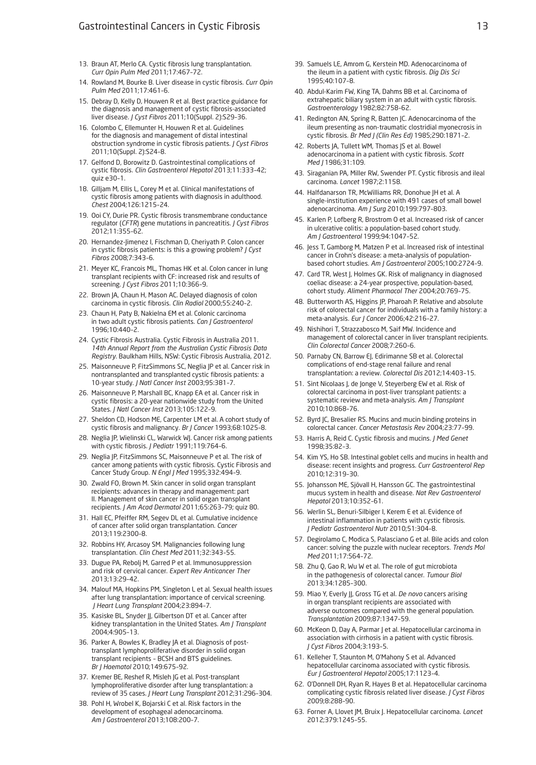- 13. Braun AT, Merlo CA. Cystic fibrosis lung transplantation. *Curr Opin Pulm Med* 2011;17:467–72.
- 14. Rowland M, Bourke B. Liver disease in cystic fibrosis. *Curr Opin Pulm Med* 2011;17:461–6.
- 15. Debray D, Kelly D, Houwen R et al. Best practice guidance for the diagnosis and management of cystic fibrosis-associated liver disease. *J Cyst Fibros* 2011;10(Suppl. 2):S29–36.
- 16. Colombo C, Ellemunter H, Houwen R et al. Guidelines for the diagnosis and management of distal intestinal obstruction syndrome in cystic fibrosis patients. *J Cyst Fibros*  2011;10(Suppl. 2):S24–8.
- 17. Gelfond D, Borowitz D. Gastrointestinal complications of cystic fibrosis. *Clin Gastroenterol Hepatol* 2013;11:333–42; quiz e $30-1$ .
- 18. Gilljam M, Ellis L, Corey M et al. Clinical manifestations of cystic fibrosis among patients with diagnosis in adulthood. *Chest* 2004;126:1215–24.
- 19. Ooi CY, Durie PR. Cystic fibrosis transmembrane conductance regulator (*CFTR*) gene mutations in pancreatitis. *J Cyst Fibros*  2012;11:355–62.
- 20. Hernandez-Jimenez I, Fischman D, Cheriyath P. Colon cancer in cystic fibrosis patients: is this a growing problem? *J Cyst Fibros* 2008;7:343–6.
- 21. Meyer KC, Francois ML, Thomas HK et al. Colon cancer in lung transplant recipients with CF: increased risk and results of screening. *J Cyst Fibros* 2011;10:366–9.
- 22. Brown JA, Chaun H, Mason AC. Delayed diagnosis of colon carcinoma in cystic fibrosis. *Clin Radiol* 2000;55:240–2.
- 23. Chaun H, Paty B, Nakielna EM et al. Colonic carcinoma in two adult cystic fibrosis patients. *Can J Gastroenterol* 1996;10:440–2.
- 24. Cystic Fibrosis Australia. Cystic Fibrosis in Australia 2011. *14th Annual Report from the Australian Cystic Fibrosis Data Registry*. Baulkham Hills, NSW: Cystic Fibrosis Australia, 2012.
- 25. Maisonneuve P, FitzSimmons SC, Neglia JP et al. Cancer risk in nontransplanted and transplanted cystic fibrosis patients: a 10-year study. *J Natl Cancer Inst* 2003;95:381–7.
- 26. Maisonneuve P, Marshall BC, Knapp EA et al. Cancer risk in cystic fibrosis: a 20-year nationwide study from the United States. *J Natl Cancer Inst* 2013;105:122–9.
- 27. Sheldon CD, Hodson ME, Carpenter LM et al. A cohort study of cystic fibrosis and malignancy. *Br J Cancer* 1993;68:1025–8.
- 28. Neglia JP, Wielinski CL, Warwick WJ. Cancer risk among patients with cystic fibrosis. *J Pediatr* 1991;119:764–6.
- 29. Neglia JP, FitzSimmons SC, Maisonneuve P et al. The risk of cancer among patients with cystic fibrosis. Cystic Fibrosis and Cancer Study Group. *N Engl J Med* 1995;332:494–9.
- 30. Zwald FO, Brown M. Skin cancer in solid organ transplant recipients: advances in therapy and management: part II. Management of skin cancer in solid organ transplant recipients. *J Am Acad Dermatol* 2011;65:263–79; quiz 80.
- 31. Hall EC, Pfeiffer RM, Segev DL et al. Cumulative incidence of cancer after solid organ transplantation. *Cancer* 2013;119:2300–8.
- 32. Robbins HY, Arcasoy SM. Malignancies following lung transplantation. *Clin Chest Med* 2011;32:343–55.
- 33. Dugue PA, Rebolj M, Garred P et al. Immunosuppression and risk of cervical cancer. *Expert Rev Anticancer Ther* 2013;13:29–42.
- 34. Malouf MA, Hopkins PM, Singleton L et al. Sexual health issues after lung transplantation: importance of cervical screening. *J Heart Lung Transplant* 2004;23:894–7.
- 35. Kasiske BL, Snyder JJ, Gilbertson DT et al. Cancer after kidney transplantation in the United States. *Am J Transplant* 2004;4:905–13.
- 36. Parker A, Bowles K, Bradley JA et al. Diagnosis of posttransplant lymphoproliferative disorder in solid organ transplant recipients – BCSH and BTS guidelines. *Br J Haematol* 2010;149:675–92.
- 37. Kremer BE, Reshef R, Misleh JG et al. Post-transplant lymphoproliferative disorder after lung transplantation: a review of 35 cases. *J Heart Lung Transplant* 2012;31:296–304.
- 38. Pohl H, Wrobel K, Bojarski C et al. Risk factors in the development of esophageal adenocarcinoma. *Am J Gastroenterol* 2013;108:200–7.
- 39. Samuels LE, Amrom G, Kerstein MD. Adenocarcinoma of the ileum in a patient with cystic fibrosis. *Dig Dis Sci* 1995;40:107–8.
- 40. Abdul-Karim FW, King TA, Dahms BB et al. Carcinoma of extrahepatic biliary system in an adult with cystic fibrosis. *Gastroenterology* 1982;82:758–62.
- 41. Redington AN, Spring R, Batten JC. Adenocarcinoma of the ileum presenting as non-traumatic clostridial myonecrosis in cystic fibrosis. *Br Med J (Clin Res Ed)* 1985;290:1871–2.
- 42. Roberts JA, Tullett WM, Thomas JS et al. Bowel adenocarcinoma in a patient with cystic fibrosis. *Scott Med J* 1986;31:109.
- 43. Siraganian PA, Miller RW, Swender PT. Cystic fibrosis and ileal carcinoma. *Lancet* 1987;2:1158.
- 44. Halfdanarson TR, McWilliams RR, Donohue JH et al. A single-institution experience with 491 cases of small bowel adenocarcinoma. *Am J Surg* 2010;199:797–803.
- 45. Karlen P, Lofberg R, Brostrom O et al. Increased risk of cancer in ulcerative colitis: a population-based cohort study. *Am J Gastroenterol* 1999;94:1047–52.
- 46. Jess T, Gamborg M, Matzen P et al. Increased risk of intestinal cancer in Crohn's disease: a meta-analysis of populationbased cohort studies. *Am J Gastroenterol* 2005;100:2724–9.
- 47. Card TR, West J, Holmes GK. Risk of malignancy in diagnosed coeliac disease: a 24-year prospective, population-based, cohort study. *Aliment Pharmacol Ther* 2004;20:769–75.
- 48. Butterworth AS, Higgins JP, Pharoah P. Relative and absolute risk of colorectal cancer for individuals with a family history: a meta-analysis. *Eur J Cancer* 2006;42:216–27.
- 49. Nishihori T, Strazzabosco M, Saif MW. Incidence and management of colorectal cancer in liver transplant recipients. *Clin Colorectal Cancer* 2008;7:260–6.
- 50. Parnaby CN, Barrow EJ, Edirimanne SB et al. Colorectal complications of end-stage renal failure and renal transplantation: a review. *Colorectal Dis* 2012;14:403–15.
- 51. Sint Nicolaas J, de Jonge V, Steyerberg EW et al. Risk of colorectal carcinoma in post-liver transplant patients: a systematic review and meta-analysis. *Am J Transplant* 2010;10:868–76.
- 52. Byrd JC, Bresalier RS. Mucins and mucin binding proteins in colorectal cancer. *Cancer Metastasis Rev* 2004;23:77–99.
- 53. Harris A, Reid C. Cystic fibrosis and mucins. *J Med Genet* 1998;35:82–3.
- 54. Kim YS, Ho SB. Intestinal goblet cells and mucins in health and disease: recent insights and progress. *Curr Gastroenterol Rep* 2010;12:319–30.
- 55. Johansson ME, Sjövall H, Hansson GC. The gastrointestinal mucus system in health and disease. *Nat Rev Gastroenterol Hepatol* 2013;10:352–61.
- 56. Werlin SL, Benuri-Silbiger I, Kerem E et al. Evidence of intestinal inflammation in patients with cystic fibrosis. *J Pediatr Gastroenterol Nutr* 2010;51:304–8.
- 57. Degirolamo C, Modica S, Palasciano G et al. Bile acids and colon cancer: solving the puzzle with nuclear receptors. *Trends Mol Med* 2011;17:564–72.
- 58. Zhu Q, Gao R, Wu W et al. The role of gut microbiota in the pathogenesis of colorectal cancer. *Tumour Biol* 2013;34:1285–300.
- 59. Miao Y, Everly JJ, Gross TG et al. *De novo* cancers arising in organ transplant recipients are associated with adverse outcomes compared with the general population. *Transplantation* 2009;87:1347–59.
- 60. McKeon D, Day A, Parmar J et al. Hepatocellular carcinoma in association with cirrhosis in a patient with cystic fibrosis. *J Cyst Fibros* 2004;3:193–5.
- 61. Kelleher T, Staunton M, O'Mahony S et al. Advanced hepatocellular carcinoma associated with cystic fibrosis. *Eur J Gastroenterol Hepatol* 2005;17:1123–4.
- 62. O'Donnell DH, Ryan R, Hayes B et al. Hepatocellular carcinoma complicating cystic fibrosis related liver disease. *J Cyst Fibros* 2009;8:288–90.
- 63. Forner A, Llovet JM, Bruix J. Hepatocellular carcinoma. *Lancet* 2012;379:1245–55.